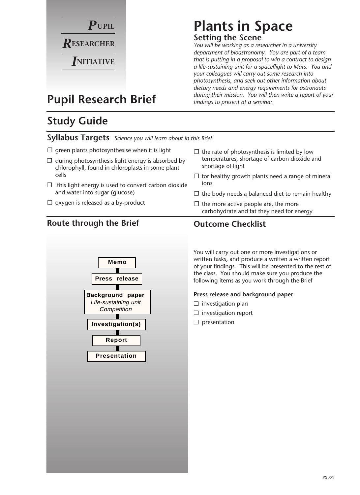

# **Plants in Space**

### **Setting the Scene**

*You will be working as a researcher in a university department of bioastronomy. You are part of a team that is putting in a proposal to win a contract to design a life-sustaining unit for a spaceflight to Mars. You and your colleagues will carry out some research into photosynthesis, and seek out other information about dietary needs and energy requirements for astronauts during their mission. You will then write a report of your findings to present at a seminar.*

### **Pupil Research Brief**

### **Study Guide**

### **Syllabus Targets** *Science you will learn about in this Brief*

- $\square$  green plants photosynthesise when it is light
- $\Box$  during photosynthesis light energy is absorbed by chlorophyll, found in chloroplasts in some plant cells
- $\Box$  this light energy is used to convert carbon dioxide and water into sugar (glucose)
- $\square$  oxygen is released as a by-product

### **Route through the Brief Outcome Checklist**



#### $\Box$  the rate of photosynthesis is limited by low temperatures, shortage of carbon dioxide and shortage of light

- $\Box$  for healthy growth plants need a range of mineral ions
- $\Box$  the body needs a balanced diet to remain healthy
- $\Box$  the more active people are, the more carbohydrate and fat they need for energy

You will carry out one or more investigations or written tasks, and produce a written a written report of your findings. This will be presented to the rest of the class. You should make sure you produce the following items as you work through the Brief

#### **Press release and background paper**

- ❏ investigation plan
- ❏ investigation report
- ❏ presentation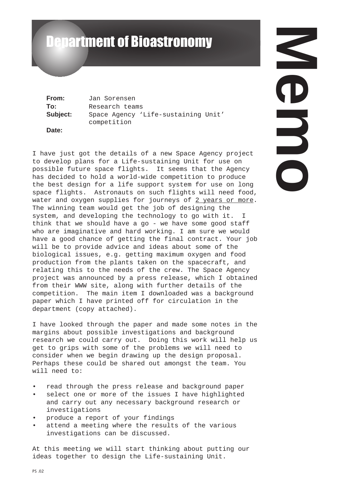# Department of Bioastronomy

**From:** Jan Sorensen **To:** Research teams **Subject:** Space Agency 'Life-sustaining Unit' competition **Date:**

I have just got the details of a new Space Agency project to develop plans for a Life-sustaining Unit for use on possible future space flights. It seems that the Agency has decided to hold a world-wide competition to produce the best design for a life support system for use on long space flights. Astronauts on such flights will need food, water and oxygen supplies for journeys of 2 years or more. The winning team would get the job of designing the system, and developing the technology to go with it. I think that we should have a go - we have some good staff who are imaginative and hard working. I am sure we would have a good chance of getting the final contract. Your job will be to provide advice and ideas about some of the biological issues, e.g. getting maximum oxygen and food production from the plants taken on the spacecraft, and relating this to the needs of the crew. The Space Agency project was announced by a press release, which I obtained from their WWW site, along with further details of the competition. The main item I downloaded was a background paper which I have printed off for circulation in the department (copy attached).

I have looked through the paper and made some notes in the margins about possible investigations and background research we could carry out. Doing this work will help us get to grips with some of the problems we will need to consider when we begin drawing up the design proposal. Perhaps these could be shared out amongst the team. You will need to:

- read through the press release and background paper
- select one or more of the issues I have highlighted and carry out any necessary background research or investigations
- produce a report of your findings
- attend a meeting where the results of the various investigations can be discussed.

At this meeting we will start thinking about putting our ideas together to design the Life-sustaining Unit.

**Memo**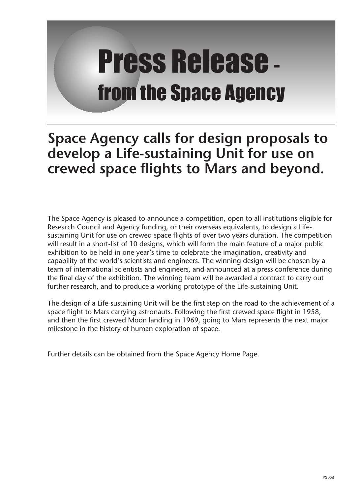# Press Release from the Space Agency

## **Space Agency calls for design proposals to develop a Life-sustaining Unit for use on crewed space flights to Mars and beyond.**

The Space Agency is pleased to announce a competition, open to all institutions eligible for Research Council and Agency funding, or their overseas equivalents, to design a Lifesustaining Unit for use on crewed space flights of over two years duration. The competition will result in a short-list of 10 designs, which will form the main feature of a major public exhibition to be held in one year's time to celebrate the imagination, creativity and capability of the world's scientists and engineers. The winning design will be chosen by a team of international scientists and engineers, and announced at a press conference during the final day of the exhibition. The winning team will be awarded a contract to carry out further research, and to produce a working prototype of the Life-sustaining Unit.

The design of a Life-sustaining Unit will be the first step on the road to the achievement of a space flight to Mars carrying astronauts. Following the first crewed space flight in 1958, and then the first crewed Moon landing in 1969, going to Mars represents the next major milestone in the history of human exploration of space.

Further details can be obtained from the Space Agency Home Page.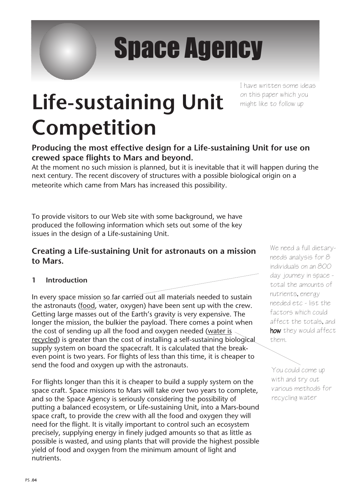# Space Agency

# **Life-sustaining Unit Competition**

I have written some ideas on this paper which you might like to follow up

### **Producing the most effective design for a Life-sustaining Unit for use on crewed space flights to Mars and beyond.**

At the moment no such mission is planned, but it is inevitable that it will happen during the next century. The recent discovery of structures with a possible biological origin on a meteorite which came from Mars has increased this possibility.

To provide visitors to our Web site with some background, we have produced the following information which sets out some of the key issues in the design of a Life-sustaining Unit.

### **Creating a Life-sustaining Unit for astronauts on a mission to Mars.**

### **1 Introduction**

In every space mission so far-carried out all materials needed to sustain the astronauts (food, water, oxygen) have been sent up with the crew. Getting large masses out of the Earth's gravity is very expensive. The longer the mission, the bulkier the payload. There comes a point when the cost of sending up all the food and oxygen needed (water is recycled) is greater than the cost of installing a self-sustaining biological supply system on board the spacecraft. It is calculated that the breakeven point is two years. For flights of less than this time, it is cheaper to send the food and oxygen up with the astronauts.

For flights longer than this it is cheaper to build a supply system on the space craft. Space missions to Mars will take over two years to complete, and so the Space Agency is seriously considering the possibility of putting a balanced ecosystem, or Life-sustaining Unit, into a Mars-bound space craft, to provide the crew with all the food and oxygen they will need for the flight. It is vitally important to control such an ecosystem precisely, supplying energy in finely judged amounts so that as little as possible is wasted, and using plants that will provide the highest possible yield of food and oxygen from the minimum amount of light and nutrients.

We need a full dietaryneeds analysis for 8 individuals on an 800 day journey in space total the amounts of nutrients, energy needed etc - list the factors which could affect the totals, and how they would affect them.

You could come up with and try out various methods for recycling water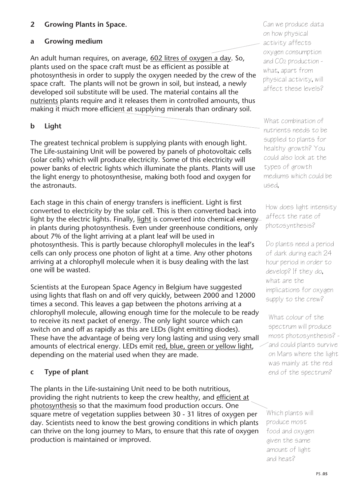### **2 Growing Plants in Space.**

### **a Growing medium**

An adult human requires, on average, 602 litres of oxygen a day. So, plants used on the space craft must be as efficient as possible at photosynthesis in order to supply the oxygen needed by the crew of the space craft. The plants will not be grown in soil, but instead, a newly developed soil substitute will be used. The material contains all the nutrients plants require and it releases them in controlled amounts, thus making it much more efficient at supplying minerals than ordinary soil.

### **b Light**

The greatest technical problem is supplying plants with enough light. The Life-sustaining Unit will be powered by panels of photovoltaic cells (solar cells) which will produce electricity. Some of this electricity will power banks of electric lights which illuminate the plants. Plants will use the light energy to photosynthesise, making both food and oxygen for the astronauts.

Each stage in this chain of energy transfers is inefficient. Light is first converted to electricity by the solar cell. This is then converted back into light by the electric lights. Finally, light is converted into chemical energy in plants during photosynthesis. Even under greenhouse conditions, only about 7% of the light arriving at a plant leaf will be used in photosynthesis. This is partly because chlorophyll molecules in the leaf's cells can only process one photon of light at a time. Any other photons arriving at a chlorophyll molecule when it is busy dealing with the last one will be wasted.

Scientists at the European Space Agency in Belgium have suggested using lights that flash on and off very quickly, between 2000 and 12000 times a second. This leaves a gap between the photons arriving at a chlorophyll molecule, allowing enough time for the molecule to be ready to receive its next packet of energy. The only light source which can switch on and off as rapidly as this are LEDs (light emitting diodes). These have the advantage of being very long lasting and using very small amounts of electrical energy. LEDs emit red, blue, green or yellow light, depending on the material used when they are made.

### **c Type of plant**

The plants in the Life-sustaining Unit need to be both nutritious, providing the right nutrients to keep the crew healthy, and efficient at photosynthesis so that the maximum food production occurs. One square metre of vegetation supplies between 30 - 31 litres of oxygen per day. Scientists need to know the best growing conditions in which plants can thrive on the long journey to Mars, to ensure that this rate of oxygen production is maintained or improved.

Can we produce data on how physical activity affects oxygen consumption and CO2 production what, apart from physical activity, will affect these levels?

What combination of nutrients needs to be supplied to plants for healthy growth? You could also look at the types of growth mediums which could be used,

How does light intensity affect the rate of photosynthesis?

Do plants need a period of dark during each 24 hour period in order to develop? If they do, what are the implications for oxygen supply to the crew?

What colour of the spectrum will produce most photosynthesis? and could plants survive on Mars where the light was mainly at the red end of the spectrum?

Which plants will produce most food and oxygen given the same amount of light and heat?